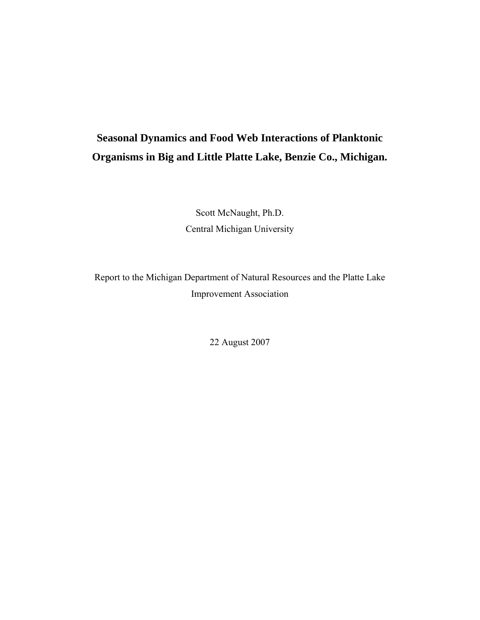# **Seasonal Dynamics and Food Web Interactions of Planktonic Organisms in Big and Little Platte Lake, Benzie Co., Michigan.**

Scott McNaught, Ph.D. Central Michigan University

Report to the Michigan Department of Natural Resources and the Platte Lake Improvement Association

22 August 2007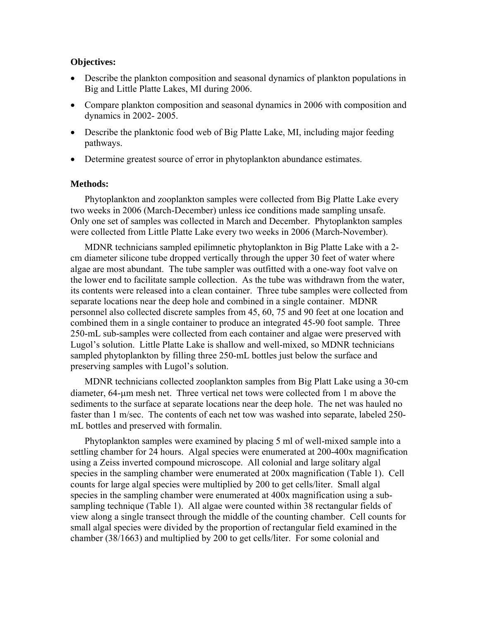## **Objectives:**

- Describe the plankton composition and seasonal dynamics of plankton populations in Big and Little Platte Lakes, MI during 2006.
- Compare plankton composition and seasonal dynamics in 2006 with composition and dynamics in 2002- 2005.
- Describe the planktonic food web of Big Platte Lake, MI, including major feeding pathways.
- Determine greatest source of error in phytoplankton abundance estimates.

## **Methods:**

Phytoplankton and zooplankton samples were collected from Big Platte Lake every two weeks in 2006 (March-December) unless ice conditions made sampling unsafe. Only one set of samples was collected in March and December. Phytoplankton samples were collected from Little Platte Lake every two weeks in 2006 (March-November).

MDNR technicians sampled epilimnetic phytoplankton in Big Platte Lake with a 2 cm diameter silicone tube dropped vertically through the upper 30 feet of water where algae are most abundant. The tube sampler was outfitted with a one-way foot valve on the lower end to facilitate sample collection. As the tube was withdrawn from the water, its contents were released into a clean container. Three tube samples were collected from separate locations near the deep hole and combined in a single container. MDNR personnel also collected discrete samples from 45, 60, 75 and 90 feet at one location and combined them in a single container to produce an integrated 45-90 foot sample. Three 250-mL sub-samples were collected from each container and algae were preserved with Lugol's solution. Little Platte Lake is shallow and well-mixed, so MDNR technicians sampled phytoplankton by filling three 250-mL bottles just below the surface and preserving samples with Lugol's solution.

MDNR technicians collected zooplankton samples from Big Platt Lake using a 30-cm diameter, 64-μm mesh net. Three vertical net tows were collected from 1 m above the sediments to the surface at separate locations near the deep hole. The net was hauled no faster than 1 m/sec. The contents of each net tow was washed into separate, labeled 250 mL bottles and preserved with formalin.

Phytoplankton samples were examined by placing 5 ml of well-mixed sample into a settling chamber for 24 hours. Algal species were enumerated at 200-400x magnification using a Zeiss inverted compound microscope. All colonial and large solitary algal species in the sampling chamber were enumerated at 200x magnification (Table 1). Cell counts for large algal species were multiplied by 200 to get cells/liter. Small algal species in the sampling chamber were enumerated at 400x magnification using a subsampling technique (Table 1). All algae were counted within 38 rectangular fields of view along a single transect through the middle of the counting chamber. Cell counts for small algal species were divided by the proportion of rectangular field examined in the chamber (38/1663) and multiplied by 200 to get cells/liter. For some colonial and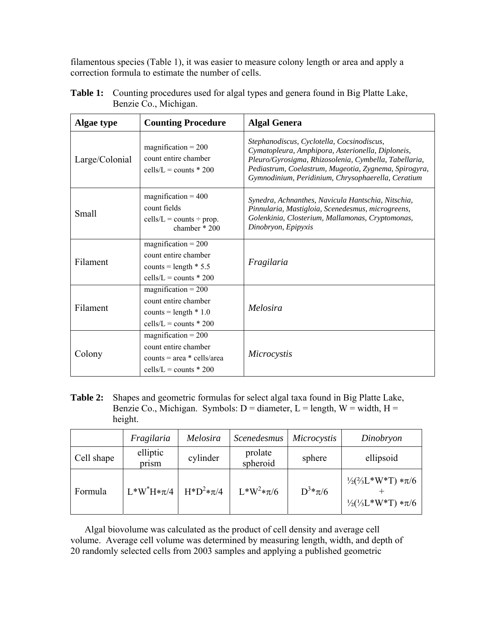filamentous species (Table 1), it was easier to measure colony length or area and apply a correction formula to estimate the number of cells.

| <b>Algae type</b> | <b>Counting Procedure</b>                                                                                 | <b>Algal Genera</b>                                                                                                                                                                                                                                                     |
|-------------------|-----------------------------------------------------------------------------------------------------------|-------------------------------------------------------------------------------------------------------------------------------------------------------------------------------------------------------------------------------------------------------------------------|
| Large/Colonial    | magnification = $200$<br>count entire chamber<br>cells/L = counts $*$ 200                                 | Stephanodiscus, Cyclotella, Cocsinodiscus,<br>Cymatopleura, Amphipora, Asterionella, Diploneis,<br>Pleuro/Gyrosigma, Rhizosolenia, Cymbella, Tabellaria,<br>Pediastrum, Coelastrum, Mugeotia, Zygnema, Spirogyra,<br>Gymnodinium, Peridinium, Chrysophaerella, Ceratium |
| Small             | magnification = $400$<br>count fields<br>$cells/L = counts \div prop.$<br>chamber * 200                   | Synedra, Achnanthes, Navicula Hantschia, Nitschia,<br>Pinnularia, Mastigloia, Scenedesmus, microgreens,<br>Golenkinia, Closterium, Mallamonas, Cryptomonas,<br>Dinobryon, Epipyxis                                                                                      |
| Filament          | $magnification = 200$<br>count entire chamber<br>counts = length $* 5.5$<br>cells/L = counts $*$ 200      | Fragilaria                                                                                                                                                                                                                                                              |
| Filament          | magnification = $200$<br>count entire chamber<br>counts = length $* 1.0$<br>cells/L = counts $*$ 200      | Melosira                                                                                                                                                                                                                                                                |
| Colony            | magnification = $200$<br>count entire chamber<br>counts = $area * cells/area$<br>cells/L = counts $*$ 200 | Microcystis                                                                                                                                                                                                                                                             |

**Table 1:** Counting procedures used for algal types and genera found in Big Platte Lake, Benzie Co., Michigan.

**Table 2:** Shapes and geometric formulas for select algal taxa found in Big Platte Lake, Benzie Co., Michigan. Symbols:  $D =$  diameter,  $L =$  length,  $W =$  width,  $H =$ height.

|            | Fragilaria        | Melosira       | Scenedesmus         | Microcystis | Dinobryon                                                                                   |
|------------|-------------------|----------------|---------------------|-------------|---------------------------------------------------------------------------------------------|
| Cell shape | elliptic<br>prism | cylinder       | prolate<br>spheroid | sphere      | ellipsoid                                                                                   |
| Formula    | $L^*W^*H*\pi/4$   | $H^*D^2*\pi/4$ | $L^*W^2*\pi/6$      | $D^3*\pi/6$ | $\frac{1}{2}$ ( $\frac{2}{3}$ L *W*T) * $\pi$ /6<br>$\frac{1}{2}(\frac{1}{3}L^*W^*T)*\pi/6$ |

Algal biovolume was calculated as the product of cell density and average cell volume. Average cell volume was determined by measuring length, width, and depth of 20 randomly selected cells from 2003 samples and applying a published geometric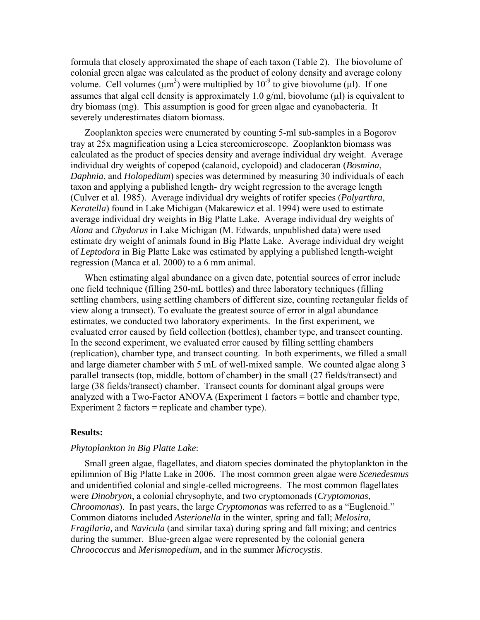formula that closely approximated the shape of each taxon (Table 2). The biovolume of colonial green algae was calculated as the product of colony density and average colony volume. Cell volumes  $(\mu m^3)$  were multiplied by  $10^{-9}$  to give biovolume ( $\mu$ l). If one assumes that algal cell density is approximately 1.0 g/ml, biovolume (μl) is equivalent to dry biomass (mg). This assumption is good for green algae and cyanobacteria. It severely underestimates diatom biomass.

Zooplankton species were enumerated by counting 5-ml sub-samples in a Bogorov tray at 25x magnification using a Leica stereomicroscope. Zooplankton biomass was calculated as the product of species density and average individual dry weight. Average individual dry weights of copepod (calanoid, cyclopoid) and cladoceran (*Bosmina*, *Daphnia*, and *Holopedium*) species was determined by measuring 30 individuals of each taxon and applying a published length- dry weight regression to the average length (Culver et al. 1985). Average individual dry weights of rotifer species (*Polyarthra*, *Keratella*) found in Lake Michigan (Makarewicz et al. 1994) were used to estimate average individual dry weights in Big Platte Lake. Average individual dry weights of *Alona* and *Chydorus* in Lake Michigan (M. Edwards, unpublished data) were used estimate dry weight of animals found in Big Platte Lake. Average individual dry weight of *Leptodora* in Big Platte Lake was estimated by applying a published length-weight regression (Manca et al. 2000) to a 6 mm animal.

When estimating algal abundance on a given date, potential sources of error include one field technique (filling 250-mL bottles) and three laboratory techniques (filling settling chambers, using settling chambers of different size, counting rectangular fields of view along a transect). To evaluate the greatest source of error in algal abundance estimates, we conducted two laboratory experiments. In the first experiment, we evaluated error caused by field collection (bottles), chamber type, and transect counting. In the second experiment, we evaluated error caused by filling settling chambers (replication), chamber type, and transect counting. In both experiments, we filled a small and large diameter chamber with 5 mL of well-mixed sample. We counted algae along 3 parallel transects (top, middle, bottom of chamber) in the small (27 fields/transect) and large (38 fields/transect) chamber. Transect counts for dominant algal groups were analyzed with a Two-Factor ANOVA (Experiment 1 factors = bottle and chamber type, Experiment 2 factors = replicate and chamber type).

#### **Results:**

## *Phytoplankton in Big Platte Lake*:

Small green algae, flagellates, and diatom species dominated the phytoplankton in the epilimnion of Big Platte Lake in 2006. The most common green algae were *Scenedesmus* and unidentified colonial and single-celled microgreens. The most common flagellates were *Dinobryon*, a colonial chrysophyte, and two cryptomonads (*Cryptomonas*, *Chroomonas*). In past years, the large *Cryptomonas* was referred to as a "Euglenoid." Common diatoms included *Asterionella* in the winter, spring and fall; *Melosira, Fragilaria,* and *Navicula* (and similar taxa) during spring and fall mixing; and centrics during the summer. Blue-green algae were represented by the colonial genera *Chroococcus* and *Merismopedium,* and in the summer *Microcystis*.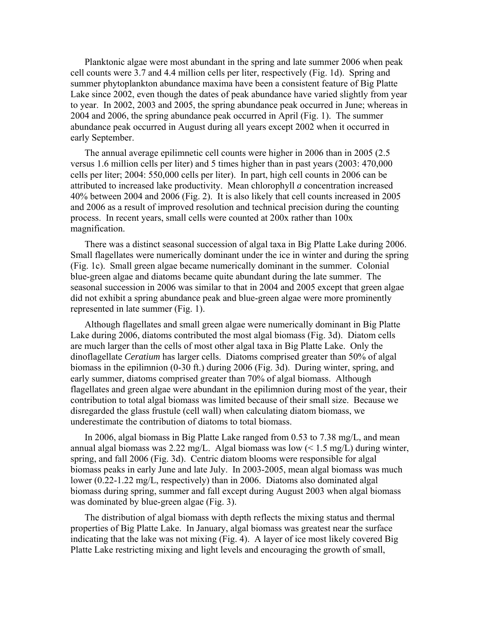Planktonic algae were most abundant in the spring and late summer 2006 when peak cell counts were 3.7 and 4.4 million cells per liter, respectively (Fig. 1d). Spring and summer phytoplankton abundance maxima have been a consistent feature of Big Platte Lake since 2002, even though the dates of peak abundance have varied slightly from year to year. In 2002, 2003 and 2005, the spring abundance peak occurred in June; whereas in 2004 and 2006, the spring abundance peak occurred in April (Fig. 1). The summer abundance peak occurred in August during all years except 2002 when it occurred in early September.

The annual average epilimnetic cell counts were higher in 2006 than in 2005 (2.5 versus 1.6 million cells per liter) and 5 times higher than in past years (2003: 470,000 cells per liter; 2004: 550,000 cells per liter). In part, high cell counts in 2006 can be attributed to increased lake productivity. Mean chlorophyll *a* concentration increased 40% between 2004 and 2006 (Fig. 2). It is also likely that cell counts increased in 2005 and 2006 as a result of improved resolution and technical precision during the counting process. In recent years, small cells were counted at 200x rather than 100x magnification.

There was a distinct seasonal succession of algal taxa in Big Platte Lake during 2006. Small flagellates were numerically dominant under the ice in winter and during the spring (Fig. 1c). Small green algae became numerically dominant in the summer. Colonial blue-green algae and diatoms became quite abundant during the late summer. The seasonal succession in 2006 was similar to that in 2004 and 2005 except that green algae did not exhibit a spring abundance peak and blue-green algae were more prominently represented in late summer (Fig. 1).

Although flagellates and small green algae were numerically dominant in Big Platte Lake during 2006, diatoms contributed the most algal biomass (Fig. 3d). Diatom cells are much larger than the cells of most other algal taxa in Big Platte Lake. Only the dinoflagellate *Ceratium* has larger cells. Diatoms comprised greater than 50% of algal biomass in the epilimnion (0-30 ft.) during 2006 (Fig. 3d). During winter, spring, and early summer, diatoms comprised greater than 70% of algal biomass. Although flagellates and green algae were abundant in the epilimnion during most of the year, their contribution to total algal biomass was limited because of their small size. Because we disregarded the glass frustule (cell wall) when calculating diatom biomass, we underestimate the contribution of diatoms to total biomass.

In 2006, algal biomass in Big Platte Lake ranged from 0.53 to 7.38 mg/L, and mean annual algal biomass was 2.22 mg/L. Algal biomass was low  $\left($  < 1.5 mg/L) during winter, spring, and fall 2006 (Fig. 3d). Centric diatom blooms were responsible for algal biomass peaks in early June and late July. In 2003-2005, mean algal biomass was much lower (0.22-1.22 mg/L, respectively) than in 2006. Diatoms also dominated algal biomass during spring, summer and fall except during August 2003 when algal biomass was dominated by blue-green algae (Fig. 3).

The distribution of algal biomass with depth reflects the mixing status and thermal properties of Big Platte Lake. In January, algal biomass was greatest near the surface indicating that the lake was not mixing (Fig. 4). A layer of ice most likely covered Big Platte Lake restricting mixing and light levels and encouraging the growth of small,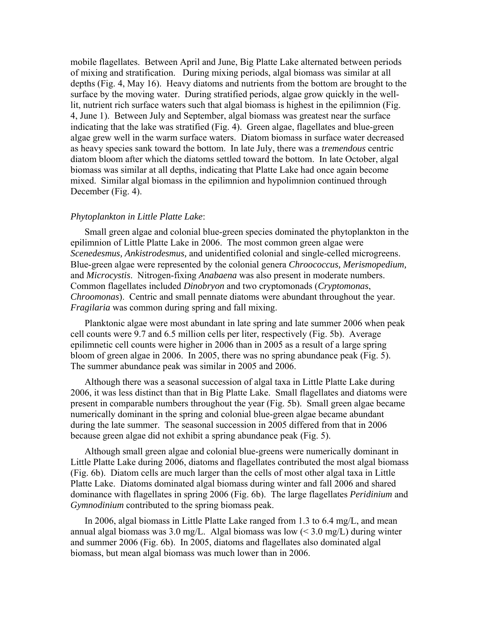mobile flagellates. Between April and June, Big Platte Lake alternated between periods of mixing and stratification. During mixing periods, algal biomass was similar at all depths (Fig. 4, May 16). Heavy diatoms and nutrients from the bottom are brought to the surface by the moving water. During stratified periods, algae grow quickly in the welllit, nutrient rich surface waters such that algal biomass is highest in the epilimnion (Fig. 4, June 1). Between July and September, algal biomass was greatest near the surface indicating that the lake was stratified (Fig. 4). Green algae, flagellates and blue-green algae grew well in the warm surface waters. Diatom biomass in surface water decreased as heavy species sank toward the bottom. In late July, there was a *tremendous* centric diatom bloom after which the diatoms settled toward the bottom. In late October, algal biomass was similar at all depths, indicating that Platte Lake had once again become mixed. Similar algal biomass in the epilimnion and hypolimnion continued through December (Fig. 4).

#### *Phytoplankton in Little Platte Lake*:

Small green algae and colonial blue-green species dominated the phytoplankton in the epilimnion of Little Platte Lake in 2006. The most common green algae were *Scenedesmus, Ankistrodesmus,* and unidentified colonial and single-celled microgreens. Blue-green algae were represented by the colonial genera *Chroococcus, Merismopedium,*  and *Microcystis*. Nitrogen-fixing *Anabaena* was also present in moderate numbers. Common flagellates included *Dinobryon* and two cryptomonads (*Cryptomonas*, *Chroomonas*). Centric and small pennate diatoms were abundant throughout the year. *Fragilaria* was common during spring and fall mixing.

Planktonic algae were most abundant in late spring and late summer 2006 when peak cell counts were 9.7 and 6.5 million cells per liter, respectively (Fig. 5b). Average epilimnetic cell counts were higher in 2006 than in 2005 as a result of a large spring bloom of green algae in 2006. In 2005, there was no spring abundance peak (Fig. 5). The summer abundance peak was similar in 2005 and 2006.

Although there was a seasonal succession of algal taxa in Little Platte Lake during 2006, it was less distinct than that in Big Platte Lake. Small flagellates and diatoms were present in comparable numbers throughout the year (Fig. 5b). Small green algae became numerically dominant in the spring and colonial blue-green algae became abundant during the late summer. The seasonal succession in 2005 differed from that in 2006 because green algae did not exhibit a spring abundance peak (Fig. 5).

Although small green algae and colonial blue-greens were numerically dominant in Little Platte Lake during 2006, diatoms and flagellates contributed the most algal biomass (Fig. 6b). Diatom cells are much larger than the cells of most other algal taxa in Little Platte Lake. Diatoms dominated algal biomass during winter and fall 2006 and shared dominance with flagellates in spring 2006 (Fig. 6b). The large flagellates *Peridinium* and *Gymnodinium* contributed to the spring biomass peak.

In 2006, algal biomass in Little Platte Lake ranged from 1.3 to 6.4 mg/L, and mean annual algal biomass was  $3.0 \text{ mg/L}$ . Algal biomass was low (<  $3.0 \text{ mg/L}$ ) during winter and summer 2006 (Fig. 6b). In 2005, diatoms and flagellates also dominated algal biomass, but mean algal biomass was much lower than in 2006.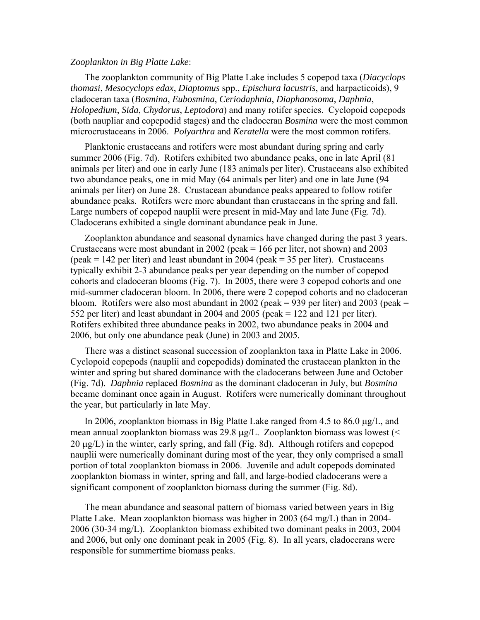#### *Zooplankton in Big Platte Lake*:

The zooplankton community of Big Platte Lake includes 5 copepod taxa (*Diacyclops thomasi*, *Mesocyclops edax*, *Diaptomus* spp., *Epischura lacustris*, and harpacticoids), 9 cladoceran taxa (*Bosmina*, *Eubosmina*, *Ceriodaphnia*, *Diaphanosoma*, *Daphnia*, *Holopedium*, *Sida*, *Chydorus*, *Leptodora*) and many rotifer species. Cyclopoid copepods (both naupliar and copepodid stages) and the cladoceran *Bosmina* were the most common microcrustaceans in 2006. *Polyarthra* and *Keratella* were the most common rotifers.

Planktonic crustaceans and rotifers were most abundant during spring and early summer 2006 (Fig. 7d). Rotifers exhibited two abundance peaks, one in late April (81 animals per liter) and one in early June (183 animals per liter). Crustaceans also exhibited two abundance peaks, one in mid May (64 animals per liter) and one in late June (94 animals per liter) on June 28. Crustacean abundance peaks appeared to follow rotifer abundance peaks. Rotifers were more abundant than crustaceans in the spring and fall. Large numbers of copepod nauplii were present in mid-May and late June (Fig. 7d). Cladocerans exhibited a single dominant abundance peak in June.

Zooplankton abundance and seasonal dynamics have changed during the past 3 years. Crustaceans were most abundant in 2002 (peak  $= 166$  per liter, not shown) and 2003 (peak  $= 142$  per liter) and least abundant in 2004 (peak  $= 35$  per liter). Crustaceans typically exhibit 2-3 abundance peaks per year depending on the number of copepod cohorts and cladoceran blooms (Fig. 7). In 2005, there were 3 copepod cohorts and one mid-summer cladoceran bloom. In 2006, there were 2 copepod cohorts and no cladoceran bloom. Rotifers were also most abundant in 2002 (peak = 939 per liter) and 2003 (peak = 552 per liter) and least abundant in 2004 and 2005 (peak = 122 and 121 per liter). Rotifers exhibited three abundance peaks in 2002, two abundance peaks in 2004 and 2006, but only one abundance peak (June) in 2003 and 2005.

There was a distinct seasonal succession of zooplankton taxa in Platte Lake in 2006. Cyclopoid copepods (nauplii and copepodids) dominated the crustacean plankton in the winter and spring but shared dominance with the cladocerans between June and October (Fig. 7d). *Daphnia* replaced *Bosmina* as the dominant cladoceran in July, but *Bosmina* became dominant once again in August. Rotifers were numerically dominant throughout the year, but particularly in late May.

In 2006, zooplankton biomass in Big Platte Lake ranged from 4.5 to 86.0 μg/L, and mean annual zooplankton biomass was 29.8 μg/L. Zooplankton biomass was lowest (<  $20 \mu g/L$ ) in the winter, early spring, and fall (Fig. 8d). Although rotifers and copepod nauplii were numerically dominant during most of the year, they only comprised a small portion of total zooplankton biomass in 2006. Juvenile and adult copepods dominated zooplankton biomass in winter, spring and fall, and large-bodied cladocerans were a significant component of zooplankton biomass during the summer (Fig. 8d).

The mean abundance and seasonal pattern of biomass varied between years in Big Platte Lake. Mean zooplankton biomass was higher in 2003 (64 mg/L) than in 2004- 2006 (30-34 mg/L). Zooplankton biomass exhibited two dominant peaks in 2003, 2004 and 2006, but only one dominant peak in 2005 (Fig. 8). In all years, cladocerans were responsible for summertime biomass peaks.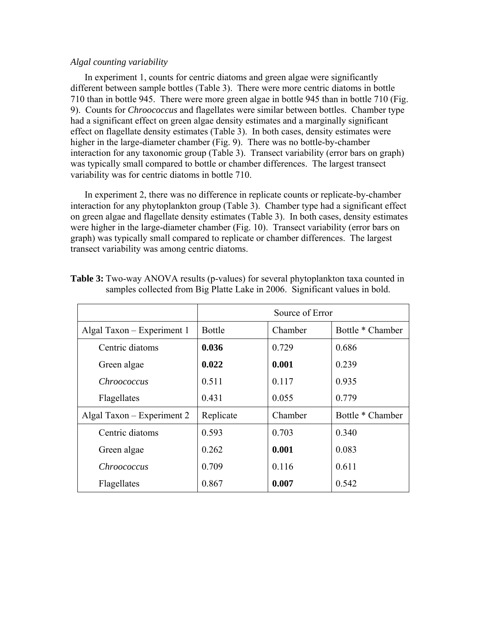## *Algal counting variability*

In experiment 1, counts for centric diatoms and green algae were significantly different between sample bottles (Table 3). There were more centric diatoms in bottle 710 than in bottle 945. There were more green algae in bottle 945 than in bottle 710 (Fig. 9). Counts for *Chroococcus* and flagellates were similar between bottles. Chamber type had a significant effect on green algae density estimates and a marginally significant effect on flagellate density estimates (Table 3). In both cases, density estimates were higher in the large-diameter chamber (Fig. 9). There was no bottle-by-chamber interaction for any taxonomic group (Table 3). Transect variability (error bars on graph) was typically small compared to bottle or chamber differences. The largest transect variability was for centric diatoms in bottle 710.

In experiment 2, there was no difference in replicate counts or replicate-by-chamber interaction for any phytoplankton group (Table 3). Chamber type had a significant effect on green algae and flagellate density estimates (Table 3). In both cases, density estimates were higher in the large-diameter chamber (Fig. 10). Transect variability (error bars on graph) was typically small compared to replicate or chamber differences. The largest transect variability was among centric diatoms.

|                            | Source of Error |         |                  |
|----------------------------|-----------------|---------|------------------|
| Algal Taxon – Experiment 1 | <b>Bottle</b>   | Chamber | Bottle * Chamber |
| Centric diatoms            | 0.036           | 0.729   | 0.686            |
| Green algae                | 0.022           | 0.001   | 0.239            |
| Chroococcus                | 0.511           | 0.117   | 0.935            |
| Flagellates                | 0.431           | 0.055   | 0.779            |
| Algal Taxon - Experiment 2 | Replicate       | Chamber | Bottle * Chamber |
| Centric diatoms            | 0.593           | 0.703   | 0.340            |
| Green algae                | 0.262           | 0.001   | 0.083            |
| <i>Chroococcus</i>         | 0.709           | 0.116   | 0.611            |
| Flagellates                | 0.867           | 0.007   | 0.542            |

| <b>Table 3:</b> Two-way ANOVA results (p-values) for several phytoplankton taxa counted in |  |
|--------------------------------------------------------------------------------------------|--|
| samples collected from Big Platte Lake in 2006. Significant values in bold.                |  |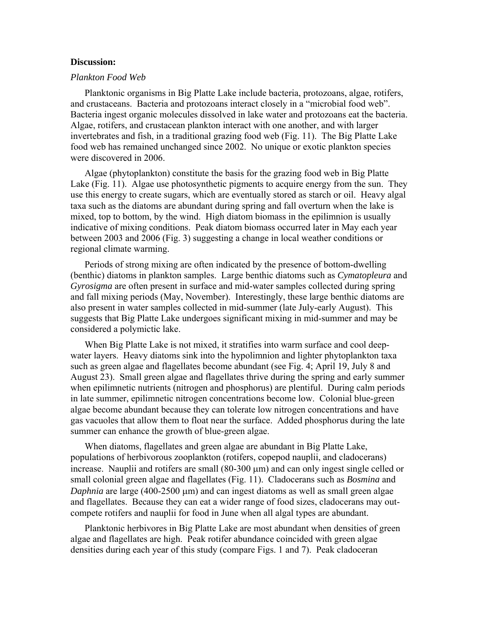## **Discussion:**

#### *Plankton Food Web*

Planktonic organisms in Big Platte Lake include bacteria, protozoans, algae, rotifers, and crustaceans. Bacteria and protozoans interact closely in a "microbial food web". Bacteria ingest organic molecules dissolved in lake water and protozoans eat the bacteria. Algae, rotifers, and crustacean plankton interact with one another, and with larger invertebrates and fish, in a traditional grazing food web (Fig. 11). The Big Platte Lake food web has remained unchanged since 2002. No unique or exotic plankton species were discovered in 2006.

Algae (phytoplankton) constitute the basis for the grazing food web in Big Platte Lake (Fig. 11). Algae use photosynthetic pigments to acquire energy from the sun. They use this energy to create sugars, which are eventually stored as starch or oil. Heavy algal taxa such as the diatoms are abundant during spring and fall overturn when the lake is mixed, top to bottom, by the wind. High diatom biomass in the epilimnion is usually indicative of mixing conditions. Peak diatom biomass occurred later in May each year between 2003 and 2006 (Fig. 3) suggesting a change in local weather conditions or regional climate warming.

Periods of strong mixing are often indicated by the presence of bottom-dwelling (benthic) diatoms in plankton samples. Large benthic diatoms such as *Cymatopleura* and *Gyrosigma* are often present in surface and mid-water samples collected during spring and fall mixing periods (May, November). Interestingly, these large benthic diatoms are also present in water samples collected in mid-summer (late July-early August). This suggests that Big Platte Lake undergoes significant mixing in mid-summer and may be considered a polymictic lake.

When Big Platte Lake is not mixed, it stratifies into warm surface and cool deepwater layers. Heavy diatoms sink into the hypolimnion and lighter phytoplankton taxa such as green algae and flagellates become abundant (see Fig. 4; April 19, July 8 and August 23). Small green algae and flagellates thrive during the spring and early summer when epilimnetic nutrients (nitrogen and phosphorus) are plentiful. During calm periods in late summer, epilimnetic nitrogen concentrations become low. Colonial blue-green algae become abundant because they can tolerate low nitrogen concentrations and have gas vacuoles that allow them to float near the surface. Added phosphorus during the late summer can enhance the growth of blue-green algae.

When diatoms, flagellates and green algae are abundant in Big Platte Lake, populations of herbivorous zooplankton (rotifers, copepod nauplii, and cladocerans) increase. Nauplii and rotifers are small (80-300 μm) and can only ingest single celled or small colonial green algae and flagellates (Fig. 11). Cladocerans such as *Bosmina* and *Daphnia* are large (400-2500 μm) and can ingest diatoms as well as small green algae and flagellates. Because they can eat a wider range of food sizes, cladocerans may outcompete rotifers and nauplii for food in June when all algal types are abundant.

Planktonic herbivores in Big Platte Lake are most abundant when densities of green algae and flagellates are high. Peak rotifer abundance coincided with green algae densities during each year of this study (compare Figs. 1 and 7). Peak cladoceran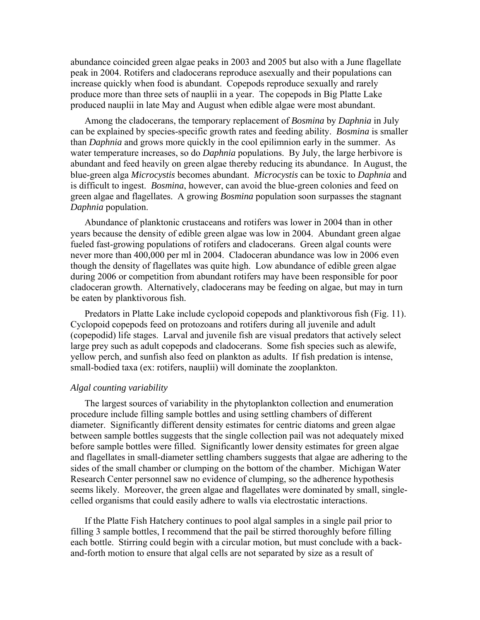abundance coincided green algae peaks in 2003 and 2005 but also with a June flagellate peak in 2004. Rotifers and cladocerans reproduce asexually and their populations can increase quickly when food is abundant. Copepods reproduce sexually and rarely produce more than three sets of nauplii in a year. The copepods in Big Platte Lake produced nauplii in late May and August when edible algae were most abundant.

Among the cladocerans, the temporary replacement of *Bosmina* by *Daphnia* in July can be explained by species-specific growth rates and feeding ability. *Bosmina* is smaller than *Daphnia* and grows more quickly in the cool epilimnion early in the summer. As water temperature increases, so do *Daphnia* populations. By July, the large herbivore is abundant and feed heavily on green algae thereby reducing its abundance. In August, the blue-green alga *Microcystis* becomes abundant. *Microcystis* can be toxic to *Daphnia* and is difficult to ingest. *Bosmina*, however, can avoid the blue-green colonies and feed on green algae and flagellates. A growing *Bosmina* population soon surpasses the stagnant *Daphnia* population.

Abundance of planktonic crustaceans and rotifers was lower in 2004 than in other years because the density of edible green algae was low in 2004. Abundant green algae fueled fast-growing populations of rotifers and cladocerans. Green algal counts were never more than 400,000 per ml in 2004. Cladoceran abundance was low in 2006 even though the density of flagellates was quite high. Low abundance of edible green algae during 2006 or competition from abundant rotifers may have been responsible for poor cladoceran growth. Alternatively, cladocerans may be feeding on algae, but may in turn be eaten by planktivorous fish.

Predators in Platte Lake include cyclopoid copepods and planktivorous fish (Fig. 11). Cyclopoid copepods feed on protozoans and rotifers during all juvenile and adult (copepodid) life stages. Larval and juvenile fish are visual predators that actively select large prey such as adult copepods and cladocerans. Some fish species such as alewife, yellow perch, and sunfish also feed on plankton as adults. If fish predation is intense, small-bodied taxa (ex: rotifers, nauplii) will dominate the zooplankton.

#### *Algal counting variability*

The largest sources of variability in the phytoplankton collection and enumeration procedure include filling sample bottles and using settling chambers of different diameter. Significantly different density estimates for centric diatoms and green algae between sample bottles suggests that the single collection pail was not adequately mixed before sample bottles were filled. Significantly lower density estimates for green algae and flagellates in small-diameter settling chambers suggests that algae are adhering to the sides of the small chamber or clumping on the bottom of the chamber. Michigan Water Research Center personnel saw no evidence of clumping, so the adherence hypothesis seems likely. Moreover, the green algae and flagellates were dominated by small, singlecelled organisms that could easily adhere to walls via electrostatic interactions.

If the Platte Fish Hatchery continues to pool algal samples in a single pail prior to filling 3 sample bottles, I recommend that the pail be stirred thoroughly before filling each bottle. Stirring could begin with a circular motion, but must conclude with a backand-forth motion to ensure that algal cells are not separated by size as a result of